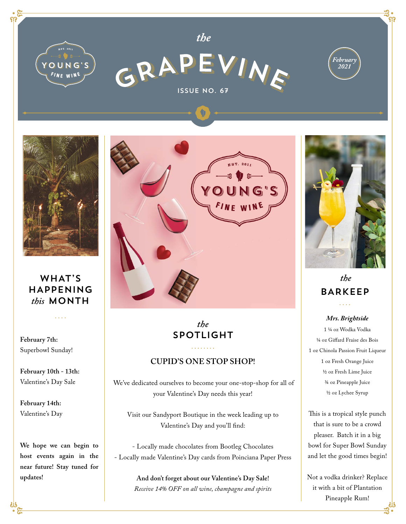



*the*





## WHAT'S HAPPENING *this* MONTH

. . . .

**February 7th:**  Superbowl Sunday!

**February 10th - 13th:**  Valentine's Day Sale

**February 14th:**  Valentine's Day

**We hope we can begin to host events again in the near future! Stay tuned for updates!**



*the* SPOTLIGHT

## **CUPID'S ONE STOP SHOP!**

 We've dedicated ourselves to become your one-stop-shop for all of your Valentine's Day needs this year!

Visit our Sandyport Boutique in the week leading up to Valentine's Day and you'll find:

- Locally made chocolates from Bootleg Chocolates - Locally made Valentine's Day cards from Poinciana Paper Press

> **And don't forget about our Valentine's Day Sale!**  *Receive 14% OFF on all wine, champagne and spirits*



## *the* BARKEEP . . . .

*Mrs. Brightside*

1 ¼ oz Wodka Vodka ¼ oz Giffard Fraise des Bois 1 oz Chinola Passion Fruit Liqueur 1 oz Fresh Orange Juice ½ oz Fresh Lime Juice ¾ oz Pineapple Juice ½ oz Lychee Syrup

This is a tropical style punch that is sure to be a crowd pleaser. Batch it in a big bowl for Super Bowl Sunday and let the good times begin!

Not a vodka drinker? Replace it with a bit of Plantation Pineapple Rum!